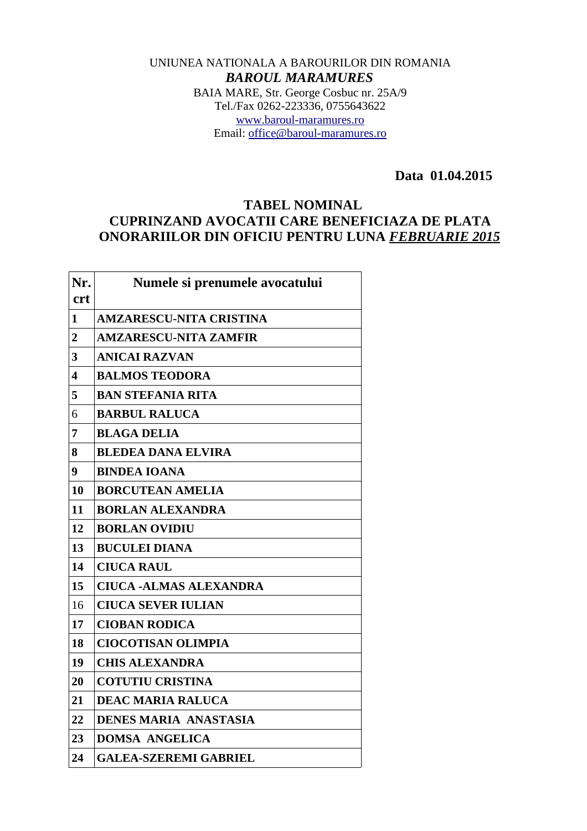## UNIUNEA NATIONALA A BAROURILOR DIN ROMANIA *BAROUL MARAMURES* BAIA MARE, Str. George Cosbuc nr. 25A/9 Tel./Fax 0262-223336, 0755643622 [www.baroul-maramures.ro](http://www.baroul-maramures.ro/) Email: [office@baroul-maramures.ro](mailto:office@baroul-maramures.ro)

 **Data 01.04.2015**

## **TABEL NOMINAL CUPRINZAND AVOCATII CARE BENEFICIAZA DE PLATA ONORARIILOR DIN OFICIU PENTRU LUNA** *FEBRUARIE 2015*

| Nr.<br><b>crt</b> | Numele si prenumele avocatului |
|-------------------|--------------------------------|
| 1                 | <b>AMZARESCU-NITA CRISTINA</b> |
| $\overline{2}$    | <b>AMZARESCU-NITA ZAMFIR</b>   |
| 3                 | <b>ANICAI RAZVAN</b>           |
| 4                 | <b>BALMOS TEODORA</b>          |
| 5                 | <b>BAN STEFANIA RITA</b>       |
| 6                 | <b>BARBUL RALUCA</b>           |
| 7                 | <b>BLAGA DELIA</b>             |
| 8                 | <b>BLEDEA DANA ELVIRA</b>      |
| 9                 | <b>BINDEA IOANA</b>            |
| 10                | <b>BORCUTEAN AMELIA</b>        |
| 11                | <b>BORLAN ALEXANDRA</b>        |
| 12                | <b>BORLAN OVIDIU</b>           |
| 13                | <b>BUCULEI DIANA</b>           |
| 14                | <b>CIUCA RAUL</b>              |
| 15                | <b>CIUCA -ALMAS ALEXANDRA</b>  |
| 16                | <b>CIUCA SEVER IULIAN</b>      |
| 17                | <b>CIOBAN RODICA</b>           |
| 18                | <b>CIOCOTISAN OLIMPIA</b>      |
| 19                | <b>CHIS ALEXANDRA</b>          |
| 20                | <b>COTUTIU CRISTINA</b>        |
| 21                | <b>DEAC MARIA RALUCA</b>       |
| 22                | <b>DENES MARIA ANASTASIA</b>   |
| 23                | <b>DOMSA ANGELICA</b>          |
| 24                | <b>GALEA-SZEREMI GABRIEL</b>   |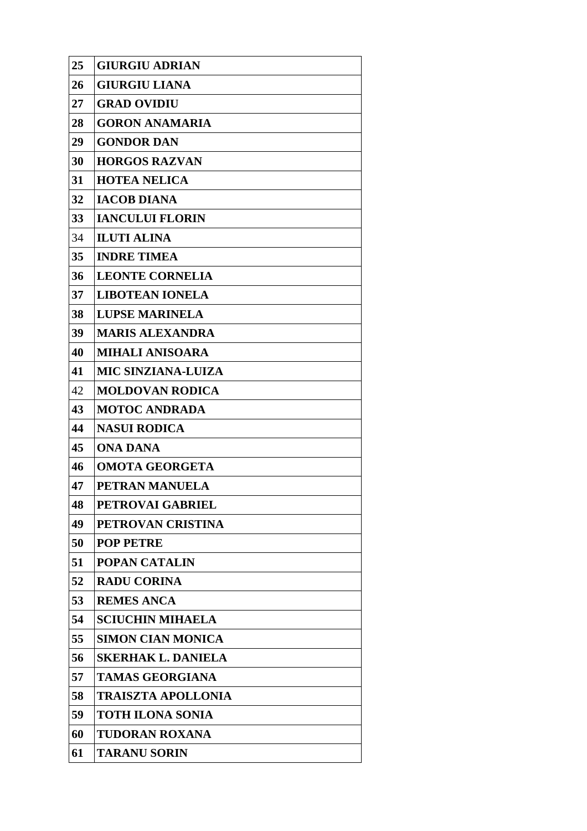| 25 | <b>GIURGIU ADRIAN</b>     |
|----|---------------------------|
| 26 | <b>GIURGIU LIANA</b>      |
| 27 | <b>GRAD OVIDIU</b>        |
| 28 | <b>GORON ANAMARIA</b>     |
| 29 | <b>GONDOR DAN</b>         |
| 30 | <b>HORGOS RAZVAN</b>      |
| 31 | <b>HOTEA NELICA</b>       |
| 32 | <b>IACOB DIANA</b>        |
| 33 | <b>IANCULUI FLORIN</b>    |
| 34 | <b>ILUTI ALINA</b>        |
| 35 | <b>INDRE TIMEA</b>        |
| 36 | <b>LEONTE CORNELIA</b>    |
| 37 | <b>LIBOTEAN IONELA</b>    |
| 38 | <b>LUPSE MARINELA</b>     |
| 39 | <b>MARIS ALEXANDRA</b>    |
| 40 | <b>MIHALI ANISOARA</b>    |
| 41 | <b>MIC SINZIANA-LUIZA</b> |
| 42 | <b>MOLDOVAN RODICA</b>    |
| 43 | <b>MOTOC ANDRADA</b>      |
| 44 | <b>NASUI RODICA</b>       |
| 45 | <b>ONA DANA</b>           |
| 46 | <b>OMOTA GEORGETA</b>     |
| 47 | PETRAN MANUELA            |
| 48 | PETROVAI GABRIEL          |
| 49 | PETROVAN CRISTINA         |
| 50 | <b>POP PETRE</b>          |
| 51 | <b>POPAN CATALIN</b>      |
| 52 | <b>RADU CORINA</b>        |
| 53 | <b>REMES ANCA</b>         |
| 54 | <b>SCIUCHIN MIHAELA</b>   |
| 55 | <b>SIMON CIAN MONICA</b>  |
| 56 | <b>SKERHAK L. DANIELA</b> |
| 57 | <b>TAMAS GEORGIANA</b>    |
| 58 | <b>TRAISZTA APOLLONIA</b> |
| 59 | <b>TOTH ILONA SONIA</b>   |
| 60 | <b>TUDORAN ROXANA</b>     |
| 61 | <b>TARANU SORIN</b>       |